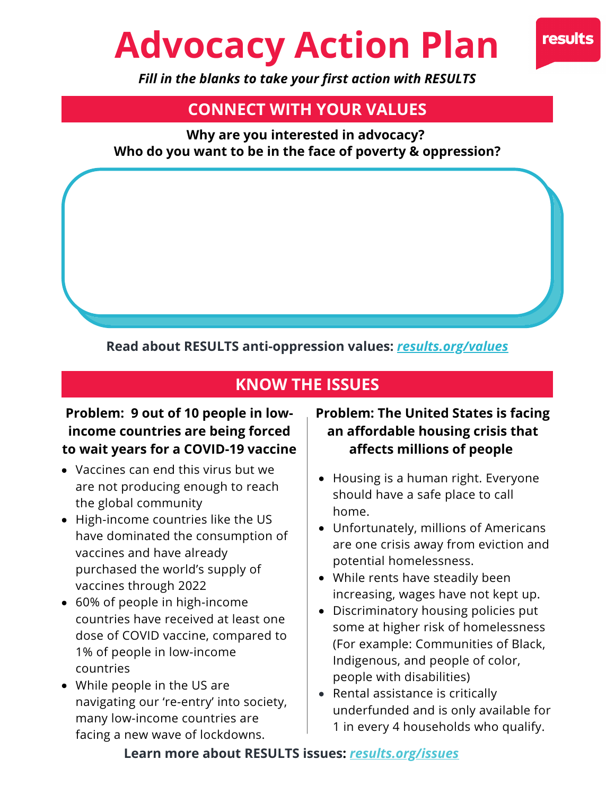# **Advocacy Action Plan**



*Fill in the blanks to take your first action with RESULTS*

# **CONNECT WITH YOUR VALUES**

**Why are you interested in advocacy? Who do you want to be in the face of poverty & oppression?**

## **Read about RESULTS anti-oppression values:** *[results.org/values](https://results.org/values)*

## **KNOW THE ISSUES**

## **Problem: 9 out of 10 people in lowincome countries are being forced to wait years for a COVID-19 vaccine**

- Vaccines can end this virus but we are not producing enough to reach the global community
- High-income countries like the US have dominated the consumption of vaccines and have already purchased the world's supply of vaccines through 2022
- 60% of people in high-income countries have received at least one dose of COVID vaccine, compared to 1% of people in low-income countries
- While people in the US are navigating our 're-entry' into society, many low-income countries are facing a new wave of lockdowns.

## **Problem: The United States is facing an affordable housing crisis that affects millions of people**

- Housing is a human right. Everyone should have a safe place to call home.
- Unfortunately, millions of Americans are one crisis away from eviction and potential homelessness.
- While rents have steadily been increasing, wages have not kept up.
- Discriminatory housing policies put some at higher risk of homelessness (For example: Communities of Black, Indigenous, and people of color, people with disabilities)
- Rental assistance is critically underfunded and is only available for 1 in every 4 households who qualify.

#### **Learn more about RESULTS issues:** *[results.org/issues](https://results.org/issues/)*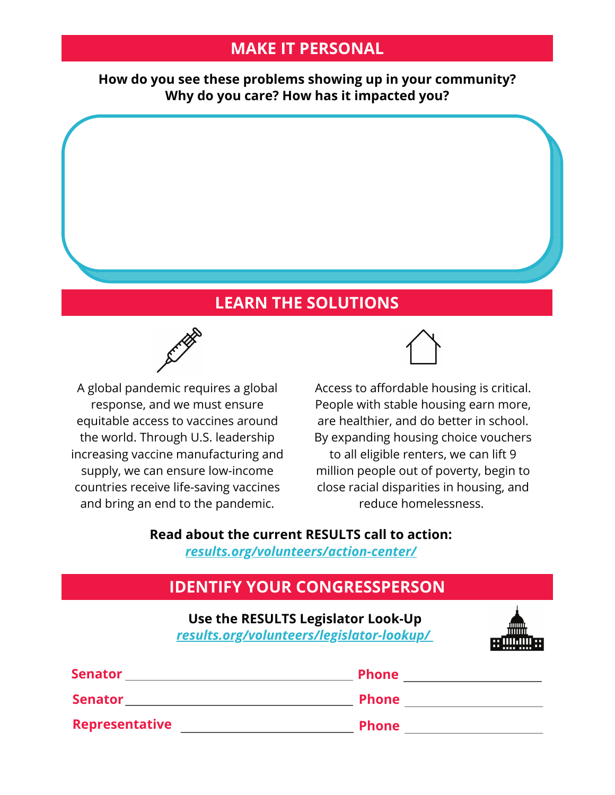## **MAKE IT PERSONAL**

**How do you see these problems showing up in your community? Why do you care? How has it impacted you?**

## **LEARN THE SOLUTIONS**



A global pandemic requires a global response, and we must ensure equitable access to vaccines around the world. Through U.S. leadership increasing vaccine manufacturing and supply, we can ensure low-income countries receive life-saving vaccines and bring an end to the pandemic.

Access to affordable housing is critical. People with stable housing earn more, are healthier, and do better in school. By expanding housing choice vouchers to all eligible renters, we can lift 9 million people out of poverty, begin to close racial disparities in housing, and reduce homelessness.

## **Read about the current RESULTS call to action:**

*[results.org/volunteers/action-center/](https://results.org/volunteers/action-center/)*

# **IDENTIFY YOUR CONGRESSPERSON**

**Use the RESULTS [Legislator](https://results.org/volunteers/action-center/) Look-Up** *[results.org/volunteers/legislator-lookup/](https://results.org/volunteers/legislator-lookup)*



| <b>Senator</b> | <b>Phone</b> |
|----------------|--------------|
| <b>Senator</b> | <b>Phone</b> |
| Representative | <b>Phone</b> |